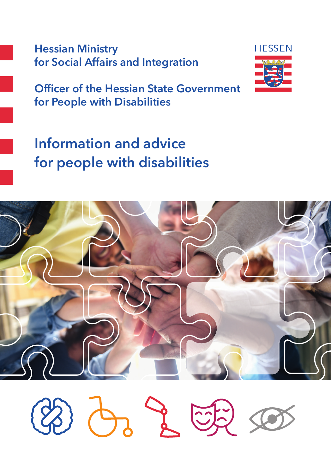**Hessian Ministry for Social Affairs and Integration**



**Officer of the Hessian State Government for People with Disabilities**

# **Information and advice for people with disabilities**



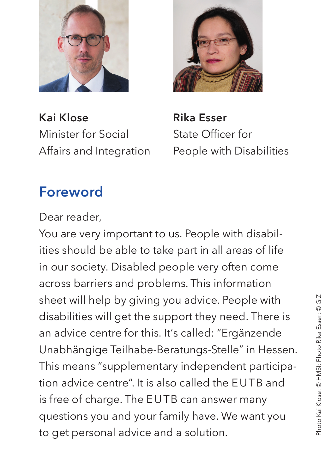

**Kai Klose**  Minister for Social Affairs and Integration



**Rika Esser**  State Officer for People with Disabilities

# **Foreword**

Dear reader,

You are very important to us. People with disabilities should be able to take part in all areas of life in our society. Disabled people very often come across barriers and problems. This information sheet will help by giving you advice. People with disabilities will get the support they need. There is an advice centre for this. It's called: "Ergänzende Unabhängige Teilhabe-Beratungs-Stelle" in Hessen. This means "supplementary independent participation advice centre". It is also called the EUTB and is free of charge. The EUTB can answer many questions you and your family have. We want you to get personal advice and a solution.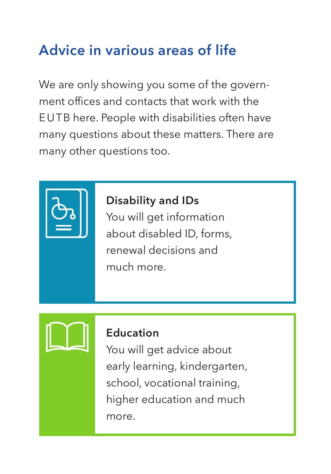# **Advice in various areas of life**

We are only showing you some of the government offices and contacts that work with the EUTB here. People with disabilities often have many questions about these matters. There are many other questions too.



# **Disability and IDs**

You will get information about disabled ID, forms, renewal decisions and much more.



#### **Education**

You will get advice about early learning, kindergarten, school, vocational training, higher education and much more.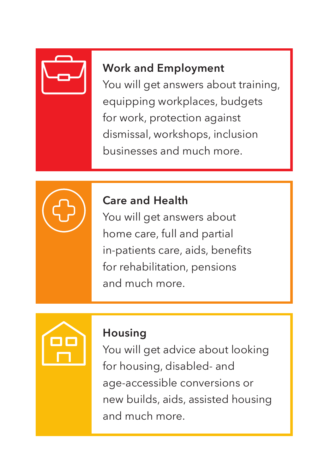

# **Work and Employment**

You will get answers about training, equipping workplaces, budgets for work, protection against dismissal, workshops, inclusion businesses and much more.



### **Care and Health**

You will get answers about home care, full and partial in-patients care, aids, benefits for rehabilitation, pensions and much more.



### **Housing**

You will get advice about looking for housing, disabled- and age-accessible conversions or new builds, aids, assisted housing and much more.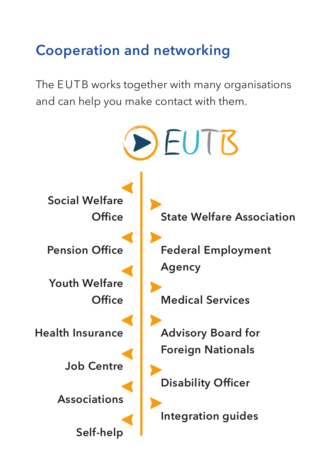# **Cooperation and networking**

The EUTB works together with many organisations and can help you make contact with them.